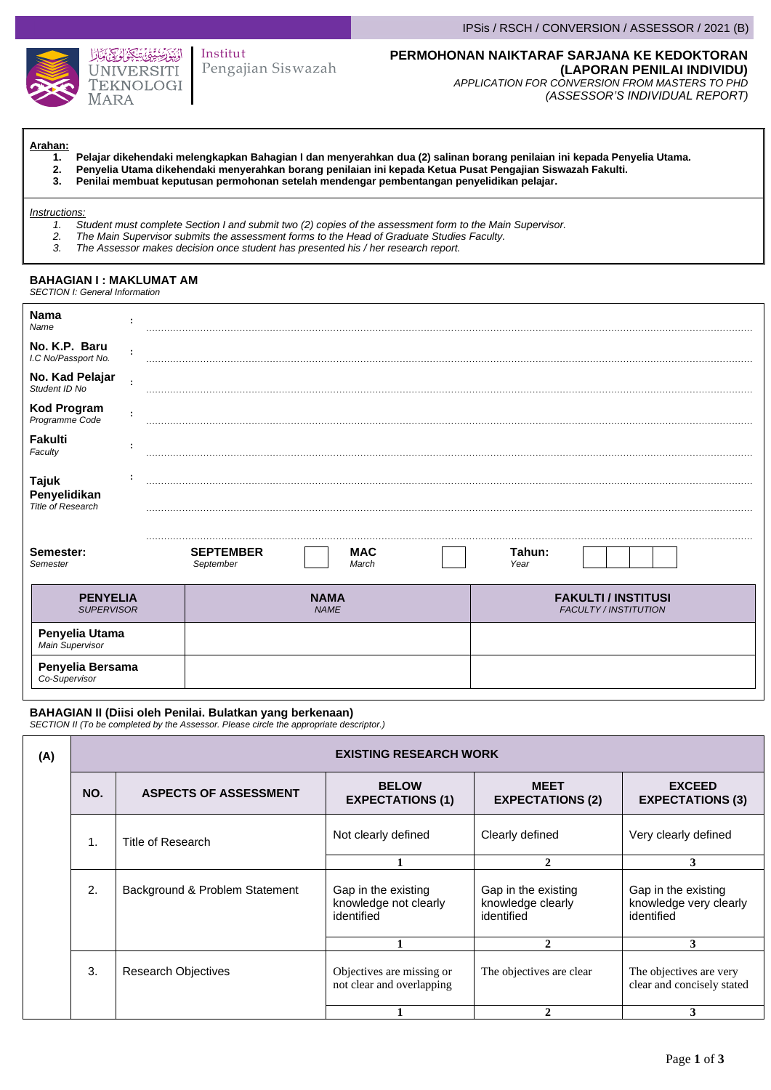

## Pengajian Siswazah Institut

### IPSis / RSCH / CONVERSION / ASSESSOR / 2021 (B)

# **PERMOHONAN NAIKTARAF SARJANA KE KEDOKTORAN**

**(LAPORAN PENILAI INDIVIDU)** *APPLICATION FOR CONVERSION FROM MASTERS TO PHD (ASSESSOR'S INDIVIDUAL REPORT)*

# **Arahan:**

- **1. Pelajar dikehendaki melengkapkan Bahagian I dan menyerahkan dua (2) salinan borang penilaian ini kepada Penyelia Utama.**
- **2. Penyelia Utama dikehendaki menyerahkan borang penilaian ini kepada Ketua Pusat Pengajian Siswazah Fakulti.**
	- **3. Penilai membuat keputusan permohonan setelah mendengar pembentangan penyelidikan pelajar.**

#### *Instructions:*

- *1. Student must complete Section I and submit two (2) copies of the assessment form to the Main Supervisor.*
- *2. The Main Supervisor submits the assessment forms to the Head of Graduate Studies Faculty.*
	- *3. The Assessor makes decision once student has presented his / her research report.*

#### **BAHAGIAN I : MAKLUMAT AM** *SECTION I: General Information*

| Nama<br>Name                                             |   |                                                      |                                                            |  |
|----------------------------------------------------------|---|------------------------------------------------------|------------------------------------------------------------|--|
| No. K.P. Baru<br>I.C No/Passport No.                     |   |                                                      |                                                            |  |
| No. Kad Pelajar<br>Student ID No                         |   |                                                      |                                                            |  |
| <b>Kod Program</b><br>Programme Code                     | ÷ |                                                      |                                                            |  |
| Fakulti<br>Faculty                                       |   |                                                      |                                                            |  |
| <b>Tajuk</b><br>Penyelidikan<br><b>Title of Research</b> |   |                                                      |                                                            |  |
| Semester:<br>Semester                                    |   | <b>SEPTEMBER</b><br><b>MAC</b><br>September<br>March | Tahun:<br>Year                                             |  |
| <b>PENYELIA</b><br><b>SUPERVISOR</b>                     |   | <b>NAMA</b><br><b>NAME</b>                           | <b>FAKULTI / INSTITUSI</b><br><b>FACULTY / INSTITUTION</b> |  |
| Penyelia Utama<br>Main Supervisor                        |   |                                                      |                                                            |  |
| Penyelia Bersama<br>Co-Supervisor                        |   |                                                      |                                                            |  |

### **BAHAGIAN II (Diisi oleh Penilai. Bulatkan yang berkenaan)**

*SECTION II (To be completed by the Assessor. Please circle the appropriate descriptor.)*

| (A) |                | <b>EXISTING RESEARCH WORK</b>  |                                                            |                                                        |                                                             |
|-----|----------------|--------------------------------|------------------------------------------------------------|--------------------------------------------------------|-------------------------------------------------------------|
|     | NO.            | <b>ASPECTS OF ASSESSMENT</b>   | <b>BELOW</b><br><b>EXPECTATIONS (1)</b>                    | <b>MEET</b><br><b>EXPECTATIONS (2)</b>                 | <b>EXCEED</b><br><b>EXPECTATIONS (3)</b>                    |
|     | $\mathbf{1}$ . | Title of Research              | Not clearly defined                                        | Clearly defined                                        | Very clearly defined                                        |
|     |                |                                |                                                            | $\mathbf{2}$                                           | 3                                                           |
|     | 2.             | Background & Problem Statement | Gap in the existing<br>knowledge not clearly<br>identified | Gap in the existing<br>knowledge clearly<br>identified | Gap in the existing<br>knowledge very clearly<br>identified |
|     |                |                                |                                                            | 2                                                      | 3                                                           |
|     | 3.             | <b>Research Objectives</b>     | Objectives are missing or<br>not clear and overlapping     | The objectives are clear                               | The objectives are very<br>clear and concisely stated       |
|     |                |                                |                                                            |                                                        | 3                                                           |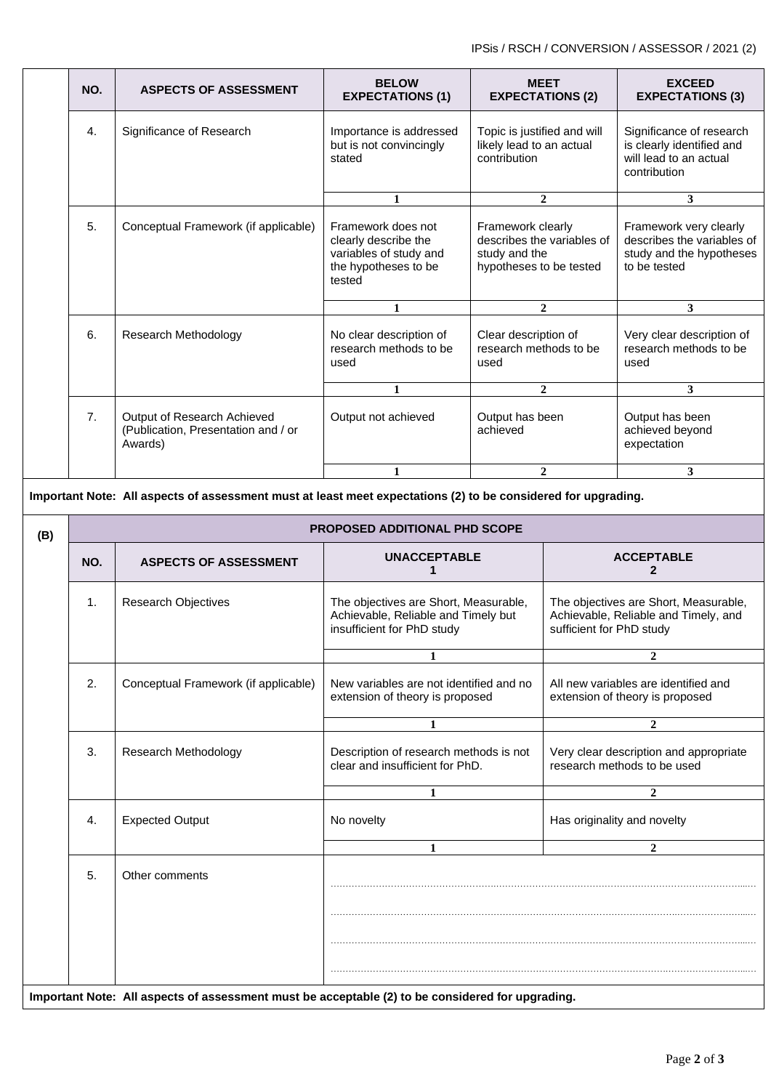| NO. | <b>ASPECTS OF ASSESSMENT</b>                                                  | <b>BELOW</b>                                                                                           | <b>MEET</b>                                                                                 | <b>EXCEED</b>                                                                                    |
|-----|-------------------------------------------------------------------------------|--------------------------------------------------------------------------------------------------------|---------------------------------------------------------------------------------------------|--------------------------------------------------------------------------------------------------|
|     |                                                                               | <b>EXPECTATIONS (1)</b>                                                                                | <b>EXPECTATIONS (2)</b>                                                                     | <b>EXPECTATIONS (3)</b>                                                                          |
| 4.  | Significance of Research                                                      | Importance is addressed<br>but is not convincingly<br>stated                                           | Topic is justified and will<br>likely lead to an actual<br>contribution                     | Significance of research<br>is clearly identified and<br>will lead to an actual<br>contribution  |
|     |                                                                               | 1                                                                                                      | $\overline{2}$                                                                              | 3                                                                                                |
| 5.  | Conceptual Framework (if applicable)                                          | Framework does not<br>clearly describe the<br>variables of study and<br>the hypotheses to be<br>tested | Framework clearly<br>describes the variables of<br>study and the<br>hypotheses to be tested | Framework very clearly<br>describes the variables of<br>study and the hypotheses<br>to be tested |
|     |                                                                               | 1                                                                                                      | $\overline{2}$                                                                              | 3                                                                                                |
| 6.  | Research Methodology                                                          | No clear description of<br>research methods to be<br>used                                              | Clear description of<br>research methods to be<br>used                                      | Very clear description of<br>research methods to be<br>used                                      |
|     |                                                                               | $\mathbf{1}$                                                                                           | $\mathbf{2}$                                                                                | 3                                                                                                |
| 7.  | Output of Research Achieved<br>(Publication, Presentation and / or<br>Awards) | Output not achieved                                                                                    | Output has been<br>achieved                                                                 | Output has been<br>achieved beyond<br>expectation                                                |
|     |                                                                               | 1                                                                                                      | $\mathbf{2}$                                                                                | 3                                                                                                |

**Important Note: All aspects of assessment must at least meet expectations (2) to be considered for upgrading.**

| (B) |                |                                      | PROPOSED ADDITIONAL PHD SCOPE                                                                              |                                                                                                           |  |
|-----|----------------|--------------------------------------|------------------------------------------------------------------------------------------------------------|-----------------------------------------------------------------------------------------------------------|--|
|     | NO.            | <b>ASPECTS OF ASSESSMENT</b>         | <b>UNACCEPTABLE</b>                                                                                        | <b>ACCEPTABLE</b><br>$\mathbf{2}$                                                                         |  |
|     | $\mathbf{1}$ . | <b>Research Objectives</b>           | The objectives are Short, Measurable,<br>Achievable, Reliable and Timely but<br>insufficient for PhD study | The objectives are Short, Measurable,<br>Achievable, Reliable and Timely, and<br>sufficient for PhD study |  |
|     |                |                                      | 1                                                                                                          | $\overline{2}$                                                                                            |  |
|     | 2.             | Conceptual Framework (if applicable) | New variables are not identified and no<br>extension of theory is proposed                                 | All new variables are identified and<br>extension of theory is proposed                                   |  |
|     |                |                                      | 1                                                                                                          | $\overline{2}$                                                                                            |  |
|     | 3.             | <b>Research Methodology</b>          | Description of research methods is not<br>clear and insufficient for PhD.                                  | Very clear description and appropriate<br>research methods to be used                                     |  |
|     |                |                                      | $\mathbf{1}$                                                                                               | $\mathbf{2}$                                                                                              |  |
|     | 4.             | <b>Expected Output</b>               | No novelty                                                                                                 | Has originality and novelty                                                                               |  |
|     |                |                                      | 1                                                                                                          | $\mathbf{2}$                                                                                              |  |
|     | 5.             | Other comments                       |                                                                                                            |                                                                                                           |  |
|     |                |                                      | Important Note: All aspects of assessment must be acceptable (2) to be considered for upgrading.           |                                                                                                           |  |